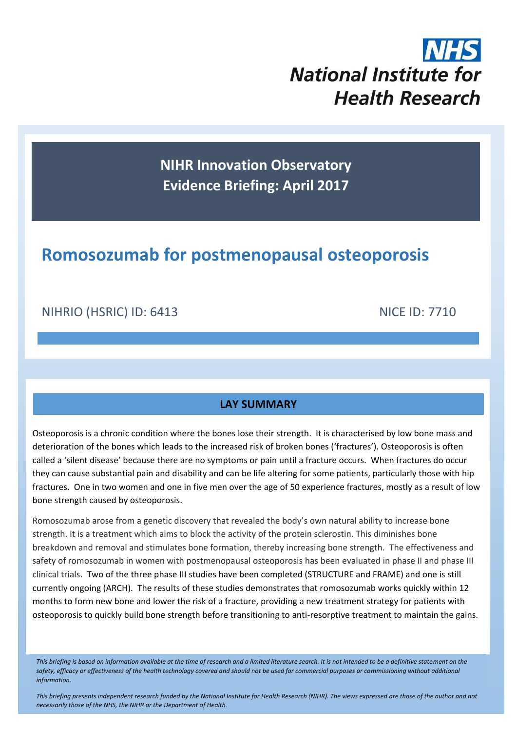# **National Institute for Health Research**

**NIHR Innovation Observatory Evidence Briefing: April 2017**

# **Romosozumab for postmenopausal osteoporosis**

# NIHRIO (HSRIC) ID: 6413 NICE ID: 7710

### **LAY SUMMARY**

Osteoporosis is a chronic condition where the bones lose their strength. It is characterised by low bone mass and deterioration of the bones which leads to the increased risk of broken bones ('fractures'). Osteoporosis is often called a 'silent disease' because there are no symptoms or pain until a fracture occurs. When fractures do occur they can cause substantial pain and disability and can be life altering for some patients, particularly those with hip fractures. One in two women and one in five men over the age of 50 experience fractures, mostly as a result of low bone strength caused by osteoporosis.

Romosozumab arose from a genetic discovery that revealed the body's own natural ability to increase bone strength. It is a treatment which aims to block the activity of the protein sclerostin. This diminishes bone breakdown and removal and stimulates bone formation, thereby increasing bone strength. The effectiveness and safety of romosozumab in women with postmenopausal osteoporosis has been evaluated in phase II and phase III clinical trials. Two of the three phase III studies have been completed (STRUCTURE and FRAME) and one is still currently ongoing (ARCH). The results of these studies demonstrates that romosozumab works quickly within 12 months to form new bone and lower the risk of a fracture, providing a new treatment strategy for patients with osteoporosis to quickly build bone strength before transitioning to anti-resorptive treatment to maintain the gains.

*This briefing is based on information available at the time of research and a limited literature search. It is not intended to be a definitive statement on the*  safety, efficacy or effectiveness of the health technology covered and should not be used for commercial purposes or commissioning without additional *information.*

*This briefing presents independent research funded by the National Institute for Health Research (NIHR). The views expressed are those of the author and not necessarily those of the NHS, the NIHR or the Department of Health.*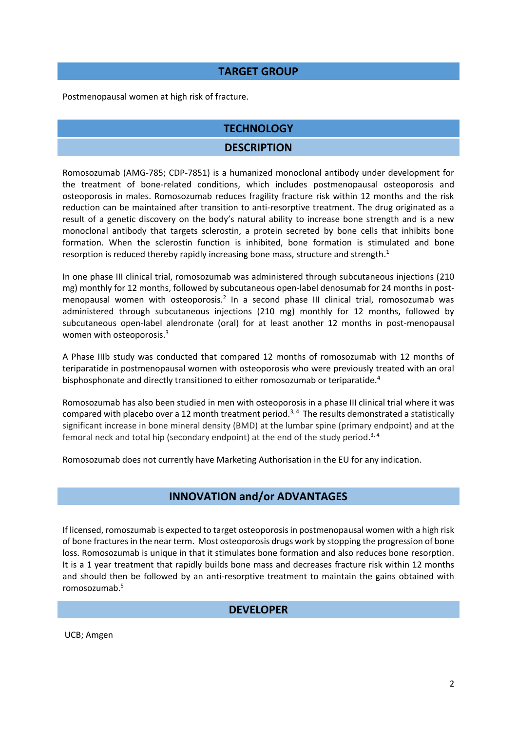#### **TARGET GROUP**

Postmenopausal women at high risk of fracture.

#### **TECHNOLOGY**

#### **DESCRIPTION**

Romosozumab (AMG-785; CDP-7851) is a humanized monoclonal antibody under development for the treatment of bone-related conditions, which includes postmenopausal osteoporosis and osteoporosis in males. Romosozumab reduces fragility fracture risk within 12 months and the risk reduction can be maintained after transition to anti-resorptive treatment. The drug originated as a result of a genetic discovery on the body's natural ability to increase bone strength and is a new monoclonal antibody that targets sclerostin, a protein secreted by bone cells that inhibits bone formation. When the sclerostin function is inhibited, bone formation is stimulated and bone resorption is reduced thereby rapidly increasing bone mass, structure and strength.<sup>1</sup>

In one phase III clinical trial, romosozumab was administered through subcutaneous injections (210 mg) monthly for 12 months, followed by subcutaneous open-label denosumab for 24 months in postmenopausal women with osteoporosis.<sup>2</sup> In a second phase III clinical trial, romosozumab was administered through subcutaneous injections (210 mg) monthly for 12 months, followed by subcutaneous open-label alendronate (oral) for at least another 12 months in post-menopausal women with osteoporosis.<sup>3</sup>

A Phase IIIb study was conducted that compared 12 months of romosozumab with 12 months of teriparatide in postmenopausal women with osteoporosis who were previously treated with an oral bisphosphonate and directly transitioned to either romosozumab or teriparatide.<sup>4</sup>

Romosozumab has also been studied in men with osteoporosis in a phase III clinical trial where it was compared with placebo over a 12 month treatment period.<sup>3,4</sup> The results demonstrated a statistically significant increase in bone mineral density (BMD) at the lumbar spine (primary endpoint) and at the femoral neck and total hip (secondary endpoint) at the end of the study period.<sup>3,4</sup>

Romosozumab does not currently have Marketing Authorisation in the EU for any indication.

### **INNOVATION and/or ADVANTAGES**

If licensed, romoszumab is expected to target osteoporosis in postmenopausal women with a high risk of bone fracturesin the near term. Most osteoporosis drugs work by stopping the progression of bone loss. Romosozumab is unique in that it stimulates bone formation and also reduces bone resorption. It is a 1 year treatment that rapidly builds bone mass and decreases fracture risk within 12 months and should then be followed by an anti-resorptive treatment to maintain the gains obtained with romosozumab. 5

#### **DEVELOPER**

UCB; Amgen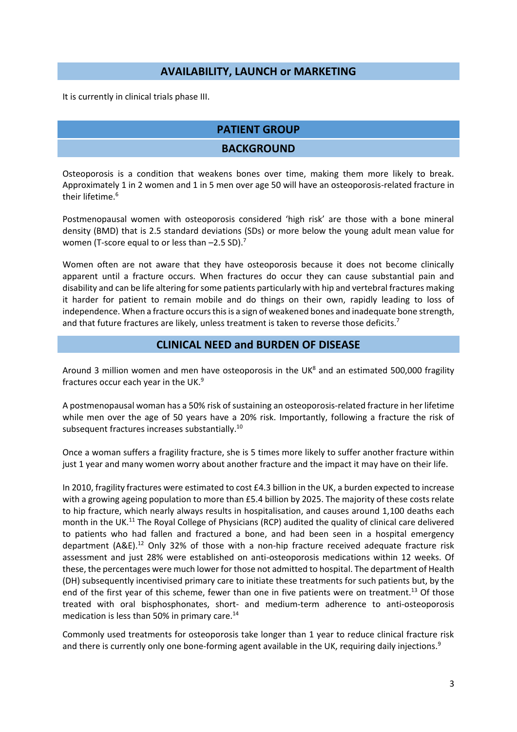#### **AVAILABILITY, LAUNCH or MARKETING**

It is currently in clinical trials phase III.

### **PATIENT GROUP**

#### **BACKGROUND**

Osteoporosis is a condition that weakens bones over time, making them more likely to break. Approximately 1 in 2 women and 1 in 5 men over age 50 will have an osteoporosis-related fracture in their lifetime.<sup>6</sup>

Postmenopausal women with osteoporosis considered 'high risk' are those with a bone mineral density (BMD) that is 2.5 standard deviations (SDs) or more below the young adult mean value for women (T-score equal to or less than -2.5 SD).<sup>7</sup>

Women often are not aware that they have osteoporosis because it does not become clinically apparent until a fracture occurs. When fractures do occur they can cause substantial pain and disability and can be life altering for some patients particularly with hip and vertebral fractures making it harder for patient to remain mobile and do things on their own, rapidly leading to loss of independence. When a fracture occurs this is a sign of weakened bones and inadequate bone strength, and that future fractures are likely, unless treatment is taken to reverse those deficits.<sup>7</sup>

#### **CLINICAL NEED and BURDEN OF DISEASE**

Around 3 million women and men have osteoporosis in the UK $^8$  and an estimated 500,000 fragility fractures occur each year in the UK.<sup>9</sup>

A postmenopausal woman has a 50% risk of sustaining an osteoporosis-related fracture in her lifetime while men over the age of 50 years have a 20% risk. Importantly, following a fracture the risk of subsequent fractures increases substantially.<sup>10</sup>

Once a woman suffers a fragility fracture, she is 5 times more likely to suffer another fracture within just 1 year and many women worry about another fracture and the impact it may have on their life.

In 2010, fragility fractures were estimated to cost £4.3 billion in the UK, a burden expected to increase with a growing ageing population to more than £5.4 billion by 2025. The majority of these costs relate to hip fracture, which nearly always results in hospitalisation, and causes around 1,100 deaths each month in the UK.<sup>11</sup> The Royal College of Physicians (RCP) audited the quality of clinical care delivered to patients who had fallen and fractured a bone, and had been seen in a hospital emergency department  $(A\&E)^{12}$  Only 32% of those with a non-hip fracture received adequate fracture risk assessment and just 28% were established on anti-osteoporosis medications within 12 weeks. Of these, the percentages were much lower for those not admitted to hospital. The department of Health (DH) subsequently incentivised primary care to initiate these treatments for such patients but, by the end of the first year of this scheme, fewer than one in five patients were on treatment.<sup>13</sup> Of those treated with oral bisphosphonates, short- and medium-term adherence to anti-osteoporosis medication is less than 50% in primary care.<sup>14</sup>

Commonly used treatments for osteoporosis take longer than 1 year to reduce clinical fracture risk and there is currently only one bone-forming agent available in the UK, requiring daily injections.<sup>9</sup>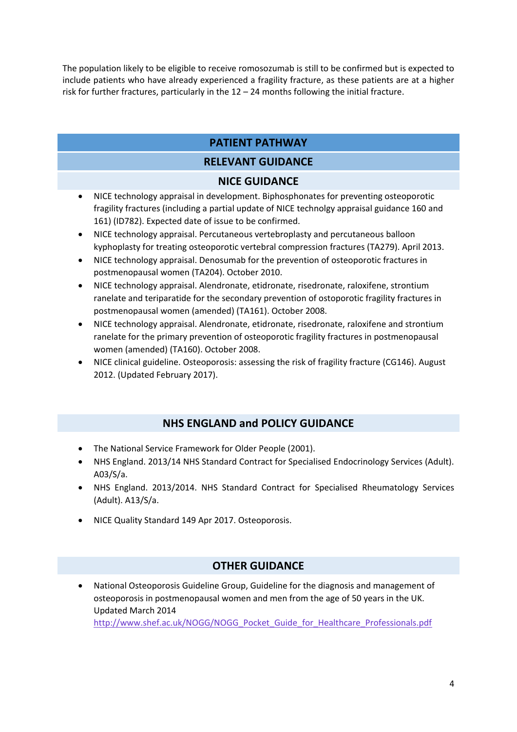The population likely to be eligible to receive romosozumab is still to be confirmed but is expected to include patients who have already experienced a fragility fracture, as these patients are at a higher risk for further fractures, particularly in the  $12 - 24$  months following the initial fracture.

# **PATIENT PATHWAY**

# **RELEVANT GUIDANCE**

### **NICE GUIDANCE**

- NICE technology appraisal in development. Biphosphonates for preventing osteoporotic fragility fractures (including a partial update of NICE technolgy appraisal guidance 160 and 161) (ID782). Expected date of issue to be confirmed.
- NICE technology appraisal. Percutaneous vertebroplasty and percutaneous balloon kyphoplasty for treating osteoporotic vertebral compression fractures (TA279). April 2013.
- NICE technology appraisal. Denosumab for the prevention of osteoporotic fractures in postmenopausal women (TA204). October 2010.
- NICE technology appraisal. Alendronate, etidronate, risedronate, raloxifene, strontium ranelate and teriparatide for the secondary prevention of ostoporotic fragility fractures in postmenopausal women (amended) (TA161). October 2008.
- NICE technology appraisal. Alendronate, etidronate, risedronate, raloxifene and strontium ranelate for the primary prevention of osteoporotic fragility fractures in postmenopausal women (amended) (TA160). October 2008.
- NICE clinical guideline. Osteoporosis: assessing the risk of fragility fracture (CG146). August 2012. (Updated February 2017).

### **NHS ENGLAND and POLICY GUIDANCE**

- The National Service Framework for Older People (2001).
- NHS England. 2013/14 NHS Standard Contract for Specialised Endocrinology Services (Adult). A03/S/a.
- NHS England. 2013/2014. NHS Standard Contract for Specialised Rheumatology Services (Adult). A13/S/a.
- NICE Quality Standard 149 Apr 2017. Osteoporosis.

### **OTHER GUIDANCE**

 National Osteoporosis Guideline Group, Guideline for the diagnosis and management of osteoporosis in postmenopausal women and men from the age of 50 years in the UK. Updated March 2014 [http://www.shef.ac.uk/NOGG/NOGG\\_Pocket\\_Guide\\_for\\_Healthcare\\_Professionals.pdf](http://www.shef.ac.uk/NOGG/NOGG_Pocket_Guide_for_Healthcare_Professionals.pdf)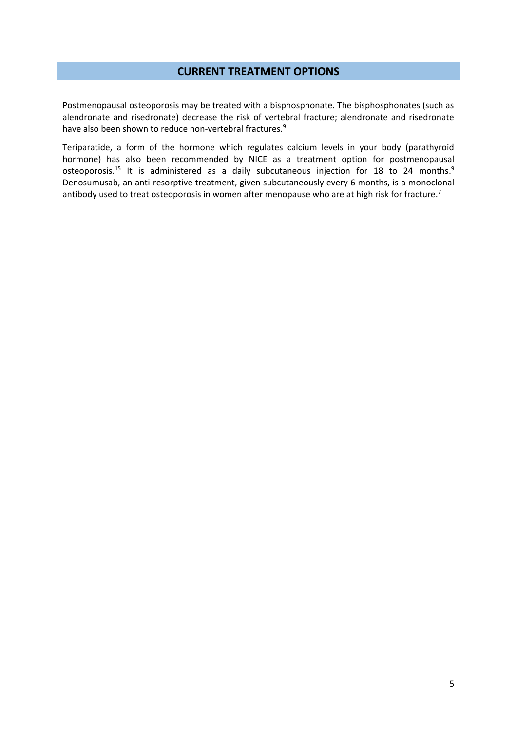#### **CURRENT TREATMENT OPTIONS**

Postmenopausal osteoporosis may be treated with a bisphosphonate. The bisphosphonates (such as alendronate and risedronate) decrease the risk of vertebral fracture; alendronate and risedronate have also been shown to reduce non-vertebral fractures.<sup>9</sup>

Teriparatide, a form of the hormone which regulates calcium levels in your body (parathyroid hormone) has also been recommended by NICE as a treatment option for postmenopausal osteoporosis.<sup>15</sup> It is administered as a daily subcutaneous injection for 18 to 24 months.<sup>9</sup> Denosumusab, an anti-resorptive treatment, given subcutaneously every 6 months, is a monoclonal antibody used to treat osteoporosis in women after menopause who are at high risk for fracture.<sup>7</sup>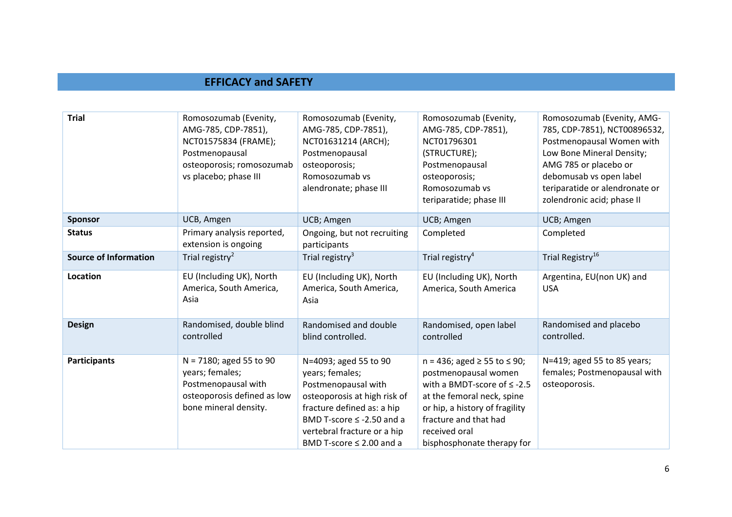# **EFFICACY and SAFETY**

| <b>Trial</b>                 | Romosozumab (Evenity,<br>AMG-785, CDP-7851),<br>NCT01575834 (FRAME);<br>Postmenopausal<br>osteoporosis; romosozumab<br>vs placebo; phase III | Romosozumab (Evenity,<br>AMG-785, CDP-7851),<br>NCT01631214 (ARCH);<br>Postmenopausal<br>osteoporosis;<br>Romosozumab vs<br>alendronate; phase III                                                                              | Romosozumab (Evenity,<br>AMG-785, CDP-7851),<br>NCT01796301<br>(STRUCTURE);<br>Postmenopausal<br>osteoporosis;<br>Romosozumab vs<br>teriparatide; phase III                                                                                 | Romosozumab (Evenity, AMG-<br>785, CDP-7851), NCT00896532,<br>Postmenopausal Women with<br>Low Bone Mineral Density;<br>AMG 785 or placebo or<br>debomusab vs open label<br>teriparatide or alendronate or<br>zolendronic acid; phase II |
|------------------------------|----------------------------------------------------------------------------------------------------------------------------------------------|---------------------------------------------------------------------------------------------------------------------------------------------------------------------------------------------------------------------------------|---------------------------------------------------------------------------------------------------------------------------------------------------------------------------------------------------------------------------------------------|------------------------------------------------------------------------------------------------------------------------------------------------------------------------------------------------------------------------------------------|
| <b>Sponsor</b>               | UCB, Amgen                                                                                                                                   | UCB; Amgen                                                                                                                                                                                                                      | UCB; Amgen                                                                                                                                                                                                                                  | UCB; Amgen                                                                                                                                                                                                                               |
| <b>Status</b>                | Primary analysis reported,<br>extension is ongoing                                                                                           | Ongoing, but not recruiting<br>participants                                                                                                                                                                                     | Completed                                                                                                                                                                                                                                   | Completed                                                                                                                                                                                                                                |
| <b>Source of Information</b> | Trial registry <sup>2</sup>                                                                                                                  | Trial registry <sup>3</sup>                                                                                                                                                                                                     | Trial registry <sup>4</sup>                                                                                                                                                                                                                 | Trial Registry <sup>16</sup>                                                                                                                                                                                                             |
| Location                     | EU (Including UK), North<br>America, South America,<br>Asia                                                                                  | EU (Including UK), North<br>America, South America,<br>Asia                                                                                                                                                                     | EU (Including UK), North<br>America, South America                                                                                                                                                                                          | Argentina, EU(non UK) and<br><b>USA</b>                                                                                                                                                                                                  |
| <b>Design</b>                | Randomised, double blind<br>controlled                                                                                                       | Randomised and double<br>blind controlled.                                                                                                                                                                                      | Randomised, open label<br>controlled                                                                                                                                                                                                        | Randomised and placebo<br>controlled.                                                                                                                                                                                                    |
| <b>Participants</b>          | N = 7180; aged 55 to 90<br>years; females;<br>Postmenopausal with<br>osteoporosis defined as low<br>bone mineral density.                    | N=4093; aged 55 to 90<br>years; females;<br>Postmenopausal with<br>osteoporosis at high risk of<br>fracture defined as: a hip<br>BMD T-score $\leq$ -2.50 and a<br>vertebral fracture or a hip<br>BMD T-score $\leq$ 2.00 and a | $n = 436$ ; aged $\ge 55$ to $\le 90$ ;<br>postmenopausal women<br>with a BMDT-score of $\leq$ -2.5<br>at the femoral neck, spine<br>or hip, a history of fragility<br>fracture and that had<br>received oral<br>bisphosphonate therapy for | N=419; aged 55 to 85 years;<br>females; Postmenopausal with<br>osteoporosis.                                                                                                                                                             |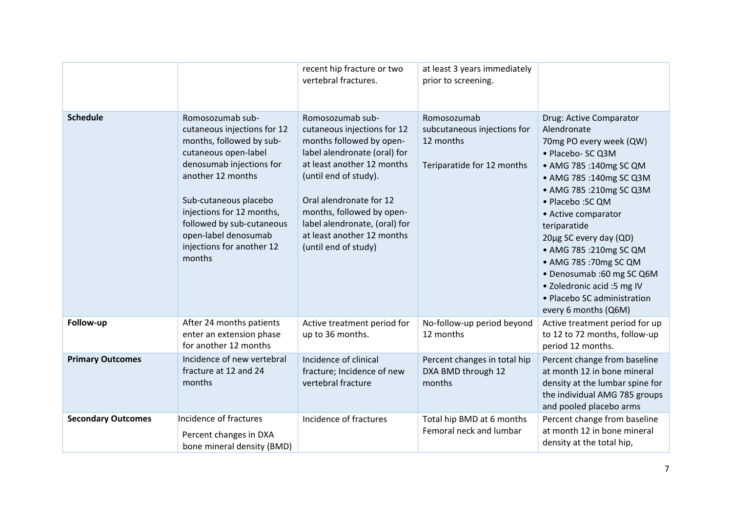|                           |                                                                                                                                                                                                                                                                                                        | recent hip fracture or two<br>vertebral fractures.                                                                                                                                                                                                                                                                | at least 3 years immediately<br>prior to screening.                                   |                                                                                                                                                                                                                                                                                                                                                                                                                               |
|---------------------------|--------------------------------------------------------------------------------------------------------------------------------------------------------------------------------------------------------------------------------------------------------------------------------------------------------|-------------------------------------------------------------------------------------------------------------------------------------------------------------------------------------------------------------------------------------------------------------------------------------------------------------------|---------------------------------------------------------------------------------------|-------------------------------------------------------------------------------------------------------------------------------------------------------------------------------------------------------------------------------------------------------------------------------------------------------------------------------------------------------------------------------------------------------------------------------|
| <b>Schedule</b>           | Romosozumab sub-<br>cutaneous injections for 12<br>months, followed by sub-<br>cutaneous open-label<br>denosumab injections for<br>another 12 months<br>Sub-cutaneous placebo<br>injections for 12 months,<br>followed by sub-cutaneous<br>open-label denosumab<br>injections for another 12<br>months | Romosozumab sub-<br>cutaneous injections for 12<br>months followed by open-<br>label alendronate (oral) for<br>at least another 12 months<br>(until end of study).<br>Oral alendronate for 12<br>months, followed by open-<br>label alendronate, (oral) for<br>at least another 12 months<br>(until end of study) | Romosozumab<br>subcutaneous injections for<br>12 months<br>Teriparatide for 12 months | Drug: Active Comparator<br>Alendronate<br>70mg PO every week (QW)<br>• Placebo- SC Q3M<br>• AMG 785:140mg SC QM<br>• AMG 785:140mg SC Q3M<br>• AMG 785:210mg SC Q3M<br>• Placebo : SC QM<br>• Active comparator<br>teriparatide<br>20µg SC every day (QD)<br>• AMG 785 :210mg SC QM<br>• AMG 785:70mg SC QM<br>• Denosumab :60 mg SC Q6M<br>• Zoledronic acid :5 mg IV<br>• Placebo SC administration<br>every 6 months (Q6M) |
| Follow-up                 | After 24 months patients<br>enter an extension phase<br>for another 12 months                                                                                                                                                                                                                          | Active treatment period for<br>up to 36 months.                                                                                                                                                                                                                                                                   | No-follow-up period beyond<br>12 months                                               | Active treatment period for up<br>to 12 to 72 months, follow-up<br>period 12 months.                                                                                                                                                                                                                                                                                                                                          |
| <b>Primary Outcomes</b>   | Incidence of new vertebral<br>fracture at 12 and 24<br>months                                                                                                                                                                                                                                          | Incidence of clinical<br>fracture; Incidence of new<br>vertebral fracture                                                                                                                                                                                                                                         | Percent changes in total hip<br>DXA BMD through 12<br>months                          | Percent change from baseline<br>at month 12 in bone mineral<br>density at the lumbar spine for<br>the individual AMG 785 groups<br>and pooled placebo arms                                                                                                                                                                                                                                                                    |
| <b>Secondary Outcomes</b> | Incidence of fractures<br>Percent changes in DXA<br>bone mineral density (BMD)                                                                                                                                                                                                                         | Incidence of fractures                                                                                                                                                                                                                                                                                            | Total hip BMD at 6 months<br>Femoral neck and lumbar                                  | Percent change from baseline<br>at month 12 in bone mineral<br>density at the total hip,                                                                                                                                                                                                                                                                                                                                      |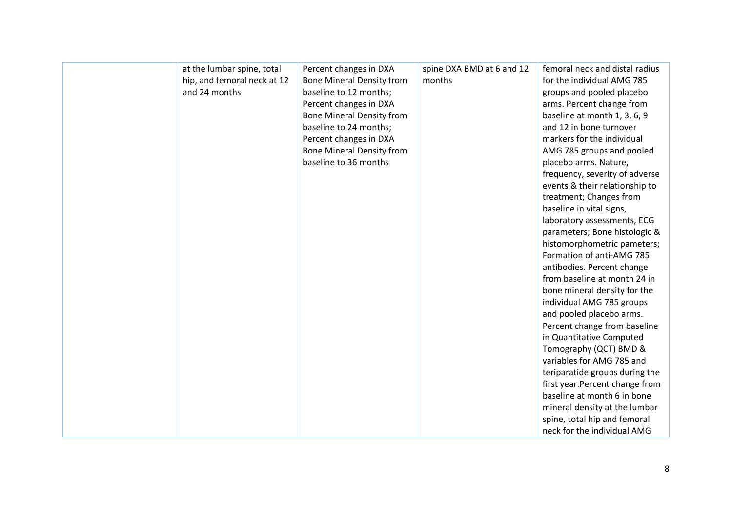| at the lumbar spine, total  | Percent changes in DXA           | spine DXA BMD at 6 and 12 | femoral neck and distal radius  |
|-----------------------------|----------------------------------|---------------------------|---------------------------------|
| hip, and femoral neck at 12 | <b>Bone Mineral Density from</b> | months                    | for the individual AMG 785      |
| and 24 months               | baseline to 12 months;           |                           | groups and pooled placebo       |
|                             | Percent changes in DXA           |                           | arms. Percent change from       |
|                             | <b>Bone Mineral Density from</b> |                           | baseline at month 1, 3, 6, 9    |
|                             | baseline to 24 months;           |                           | and 12 in bone turnover         |
|                             | Percent changes in DXA           |                           | markers for the individual      |
|                             | <b>Bone Mineral Density from</b> |                           | AMG 785 groups and pooled       |
|                             | baseline to 36 months            |                           | placebo arms. Nature,           |
|                             |                                  |                           | frequency, severity of adverse  |
|                             |                                  |                           | events & their relationship to  |
|                             |                                  |                           | treatment; Changes from         |
|                             |                                  |                           | baseline in vital signs,        |
|                             |                                  |                           | laboratory assessments, ECG     |
|                             |                                  |                           | parameters; Bone histologic &   |
|                             |                                  |                           | histomorphometric pameters;     |
|                             |                                  |                           | Formation of anti-AMG 785       |
|                             |                                  |                           | antibodies. Percent change      |
|                             |                                  |                           | from baseline at month 24 in    |
|                             |                                  |                           | bone mineral density for the    |
|                             |                                  |                           | individual AMG 785 groups       |
|                             |                                  |                           | and pooled placebo arms.        |
|                             |                                  |                           | Percent change from baseline    |
|                             |                                  |                           | in Quantitative Computed        |
|                             |                                  |                           | Tomography (QCT) BMD &          |
|                             |                                  |                           | variables for AMG 785 and       |
|                             |                                  |                           | teriparatide groups during the  |
|                             |                                  |                           | first year. Percent change from |
|                             |                                  |                           | baseline at month 6 in bone     |
|                             |                                  |                           | mineral density at the lumbar   |
|                             |                                  |                           | spine, total hip and femoral    |
|                             |                                  |                           | neck for the individual AMG     |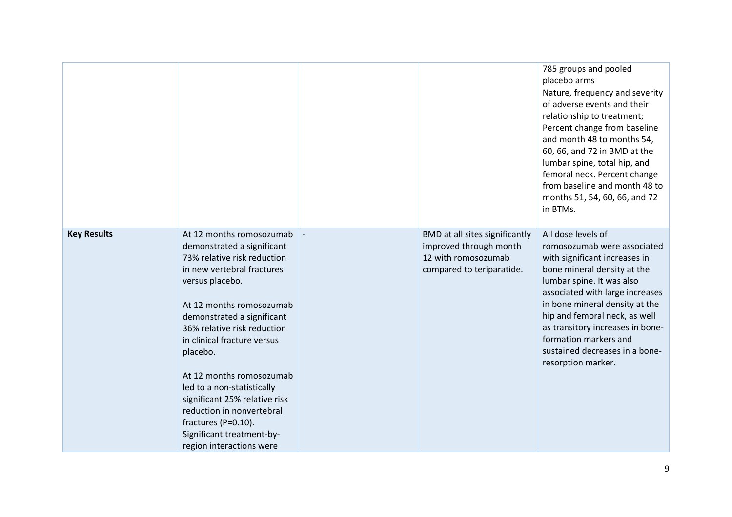|                    |                                                                                                                                                                                                                                                                                                                                                                                                                                                                                    |                                                                                                              | 785 groups and pooled<br>placebo arms<br>Nature, frequency and severity<br>of adverse events and their<br>relationship to treatment;<br>Percent change from baseline<br>and month 48 to months 54,<br>60, 66, and 72 in BMD at the<br>lumbar spine, total hip, and<br>femoral neck. Percent change<br>from baseline and month 48 to<br>months 51, 54, 60, 66, and 72<br>in BTMs. |
|--------------------|------------------------------------------------------------------------------------------------------------------------------------------------------------------------------------------------------------------------------------------------------------------------------------------------------------------------------------------------------------------------------------------------------------------------------------------------------------------------------------|--------------------------------------------------------------------------------------------------------------|----------------------------------------------------------------------------------------------------------------------------------------------------------------------------------------------------------------------------------------------------------------------------------------------------------------------------------------------------------------------------------|
| <b>Key Results</b> | At 12 months romosozumab<br>demonstrated a significant<br>73% relative risk reduction<br>in new vertebral fractures<br>versus placebo.<br>At 12 months romosozumab<br>demonstrated a significant<br>36% relative risk reduction<br>in clinical fracture versus<br>placebo.<br>At 12 months romosozumab<br>led to a non-statistically<br>significant 25% relative risk<br>reduction in nonvertebral<br>fractures (P=0.10).<br>Significant treatment-by-<br>region interactions were | BMD at all sites significantly<br>improved through month<br>12 with romosozumab<br>compared to teriparatide. | All dose levels of<br>romosozumab were associated<br>with significant increases in<br>bone mineral density at the<br>lumbar spine. It was also<br>associated with large increases<br>in bone mineral density at the<br>hip and femoral neck, as well<br>as transitory increases in bone-<br>formation markers and<br>sustained decreases in a bone-<br>resorption marker.        |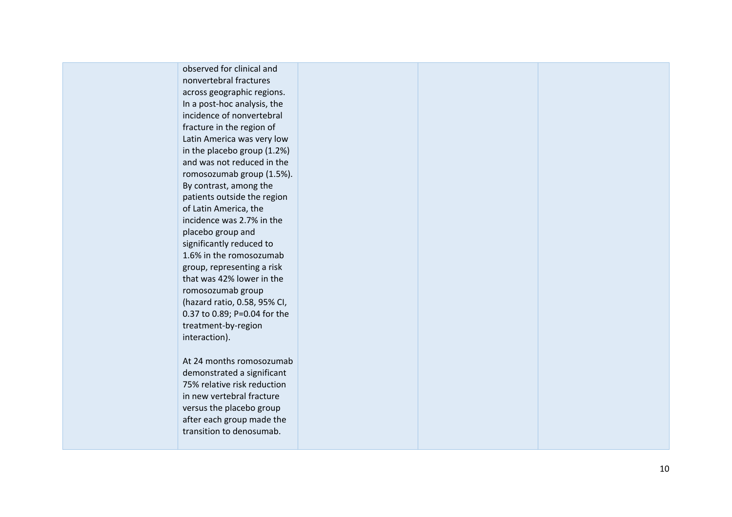| observed for clinical and    |  |  |
|------------------------------|--|--|
| nonvertebral fractures       |  |  |
| across geographic regions.   |  |  |
| In a post-hoc analysis, the  |  |  |
| incidence of nonvertebral    |  |  |
| fracture in the region of    |  |  |
| Latin America was very low   |  |  |
| in the placebo group (1.2%)  |  |  |
| and was not reduced in the   |  |  |
| romosozumab group (1.5%).    |  |  |
| By contrast, among the       |  |  |
| patients outside the region  |  |  |
| of Latin America, the        |  |  |
| incidence was 2.7% in the    |  |  |
| placebo group and            |  |  |
| significantly reduced to     |  |  |
| 1.6% in the romosozumab      |  |  |
| group, representing a risk   |  |  |
| that was 42% lower in the    |  |  |
| romosozumab group            |  |  |
| (hazard ratio, 0.58, 95% CI, |  |  |
| 0.37 to 0.89; P=0.04 for the |  |  |
| treatment-by-region          |  |  |
| interaction).                |  |  |
|                              |  |  |
| At 24 months romosozumab     |  |  |
| demonstrated a significant   |  |  |
| 75% relative risk reduction  |  |  |
| in new vertebral fracture    |  |  |
| versus the placebo group     |  |  |
| after each group made the    |  |  |
| transition to denosumab.     |  |  |
|                              |  |  |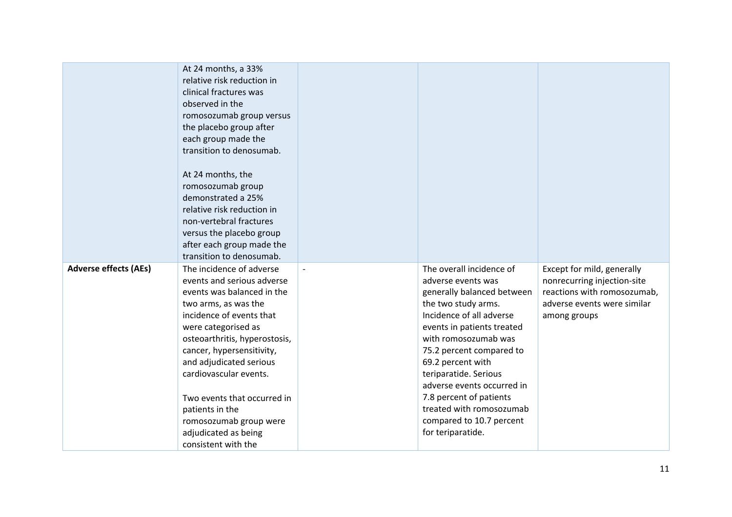|                              | At 24 months, a 33%<br>relative risk reduction in<br>clinical fractures was<br>observed in the<br>romosozumab group versus<br>the placebo group after<br>each group made the<br>transition to denosumab.<br>At 24 months, the<br>romosozumab group<br>demonstrated a 25%<br>relative risk reduction in<br>non-vertebral fractures<br>versus the placebo group<br>after each group made the<br>transition to denosumab. |                |                                                |                                                           |
|------------------------------|------------------------------------------------------------------------------------------------------------------------------------------------------------------------------------------------------------------------------------------------------------------------------------------------------------------------------------------------------------------------------------------------------------------------|----------------|------------------------------------------------|-----------------------------------------------------------|
| <b>Adverse effects (AEs)</b> | The incidence of adverse<br>events and serious adverse                                                                                                                                                                                                                                                                                                                                                                 | $\overline{a}$ | The overall incidence of<br>adverse events was | Except for mild, generally<br>nonrecurring injection-site |
|                              | events was balanced in the                                                                                                                                                                                                                                                                                                                                                                                             |                | generally balanced between                     | reactions with romosozumab,                               |
|                              | two arms, as was the                                                                                                                                                                                                                                                                                                                                                                                                   |                | the two study arms.                            | adverse events were similar                               |
|                              | incidence of events that                                                                                                                                                                                                                                                                                                                                                                                               |                | Incidence of all adverse                       | among groups                                              |
|                              | were categorised as                                                                                                                                                                                                                                                                                                                                                                                                    |                | events in patients treated                     |                                                           |
|                              | osteoarthritis, hyperostosis,                                                                                                                                                                                                                                                                                                                                                                                          |                | with romosozumab was                           |                                                           |
|                              | cancer, hypersensitivity,                                                                                                                                                                                                                                                                                                                                                                                              |                | 75.2 percent compared to                       |                                                           |
|                              | and adjudicated serious                                                                                                                                                                                                                                                                                                                                                                                                |                | 69.2 percent with                              |                                                           |
|                              | cardiovascular events.                                                                                                                                                                                                                                                                                                                                                                                                 |                | teriparatide. Serious                          |                                                           |
|                              |                                                                                                                                                                                                                                                                                                                                                                                                                        |                | adverse events occurred in                     |                                                           |
|                              | Two events that occurred in                                                                                                                                                                                                                                                                                                                                                                                            |                | 7.8 percent of patients                        |                                                           |
|                              | patients in the                                                                                                                                                                                                                                                                                                                                                                                                        |                | treated with romosozumab                       |                                                           |
|                              | romosozumab group were                                                                                                                                                                                                                                                                                                                                                                                                 |                | compared to 10.7 percent                       |                                                           |
|                              | adjudicated as being                                                                                                                                                                                                                                                                                                                                                                                                   |                | for teriparatide.                              |                                                           |
|                              | consistent with the                                                                                                                                                                                                                                                                                                                                                                                                    |                |                                                |                                                           |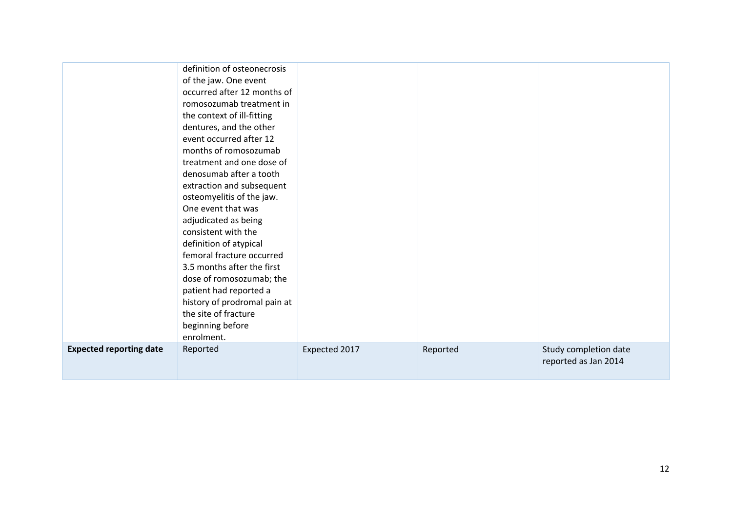|                                | definition of osteonecrosis  |               |          |                       |
|--------------------------------|------------------------------|---------------|----------|-----------------------|
|                                | of the jaw. One event        |               |          |                       |
|                                | occurred after 12 months of  |               |          |                       |
|                                | romosozumab treatment in     |               |          |                       |
|                                | the context of ill-fitting   |               |          |                       |
|                                | dentures, and the other      |               |          |                       |
|                                | event occurred after 12      |               |          |                       |
|                                | months of romosozumab        |               |          |                       |
|                                | treatment and one dose of    |               |          |                       |
|                                | denosumab after a tooth      |               |          |                       |
|                                | extraction and subsequent    |               |          |                       |
|                                | osteomyelitis of the jaw.    |               |          |                       |
|                                | One event that was           |               |          |                       |
|                                | adjudicated as being         |               |          |                       |
|                                | consistent with the          |               |          |                       |
|                                | definition of atypical       |               |          |                       |
|                                | femoral fracture occurred    |               |          |                       |
|                                | 3.5 months after the first   |               |          |                       |
|                                | dose of romosozumab; the     |               |          |                       |
|                                | patient had reported a       |               |          |                       |
|                                | history of prodromal pain at |               |          |                       |
|                                | the site of fracture         |               |          |                       |
|                                | beginning before             |               |          |                       |
|                                | enrolment.                   |               |          |                       |
| <b>Expected reporting date</b> | Reported                     | Expected 2017 | Reported | Study completion date |
|                                |                              |               |          | reported as Jan 2014  |
|                                |                              |               |          |                       |
|                                |                              |               |          |                       |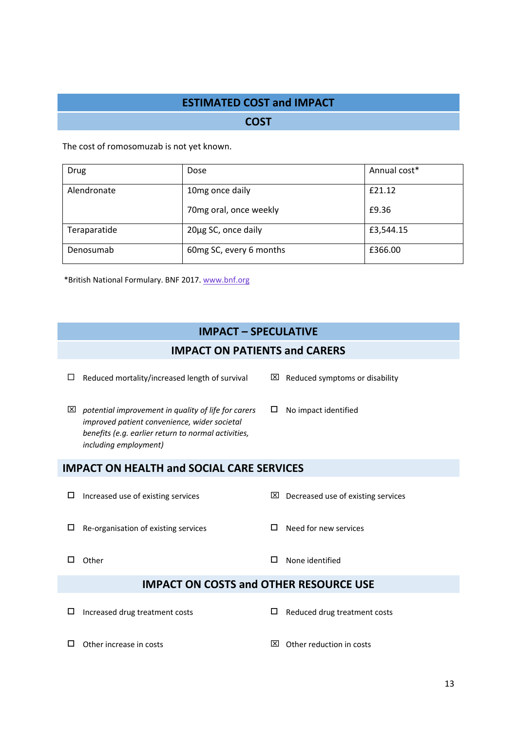# **ESTIMATED COST and IMPACT**

**COST**

The cost of romosomuzab is not yet known.

| <b>Drug</b>  | Dose                    | Annual cost* |
|--------------|-------------------------|--------------|
| Alendronate  | 10mg once daily         | £21.12       |
|              | 70mg oral, once weekly  | £9.36        |
| Teraparatide | 20µg SC, once daily     | £3,544.15    |
| Denosumab    | 60mg SC, every 6 months | £366.00      |

\*British National Formulary. BNF 2017. [www.bnf.org](http://www.bnf.org/)

# **IMPACT – SPECULATIVE**

#### **IMPACT ON PATIENTS and CARERS**

 $\Box$  Reduced mortality/increased length of survival  $\boxtimes$  Reduced symptoms or disability

- *potential improvement in quality of life for carers improved patient convenience, wider societal benefits (e.g. earlier return to normal activities, including employment)*
- 
- $\square$  No impact identified

### **IMPACT ON HEALTH and SOCIAL CARE SERVICES**

- 
- $\square$  Increased use of existing services  $\square$  Decreased use of existing services

 $\Box$  Re-organisation of existing services  $\Box$  Need for new services

- 
- $\Box$  Other  $\Box$  Other  $\Box$  Other  $\Box$  Other  $\Box$  Other  $\Box$  Other  $\Box$  Other  $\Box$  Other  $\Box$  Other  $\Box$  Other  $\Box$  Other  $\Box$  Other  $\Box$  Other  $\Box$  Other  $\Box$  Other  $\Box$  Other  $\Box$  Other  $\Box$  Other  $\Box$  Other  $\Box$  Other

#### **IMPACT ON COSTS and OTHER RESOURCE USE**

- $\Box$  Increased drug treatment costs  $\Box$  Reduced drug treatment costs
- 
- $\Box$  Other increase in costs  $\boxtimes$  Other reduction in costs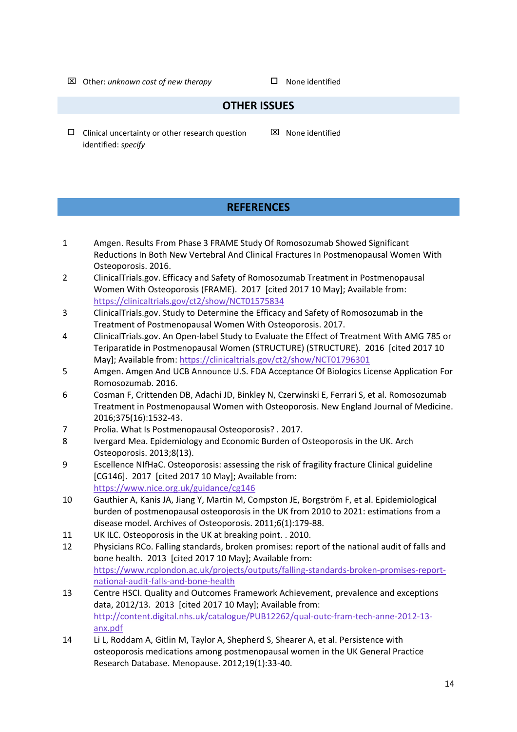$\boxtimes$  Other: *unknown cost of new therapy*  $\square$  None identified

## **OTHER ISSUES**

 $\square$  Clinical uncertainty or other research question identified: *specify*

 $\boxtimes$  None identified

# **REFERENCES**

- 1 Amgen. Results From Phase 3 FRAME Study Of Romosozumab Showed Significant Reductions In Both New Vertebral And Clinical Fractures In Postmenopausal Women With Osteoporosis. 2016.
- 2 ClinicalTrials.gov. Efficacy and Safety of Romosozumab Treatment in Postmenopausal Women With Osteoporosis (FRAME). 2017 [cited 2017 10 May]; Available from: <https://clinicaltrials.gov/ct2/show/NCT01575834>
- 3 ClinicalTrials.gov. Study to Determine the Efficacy and Safety of Romosozumab in the Treatment of Postmenopausal Women With Osteoporosis. 2017.
- 4 ClinicalTrials.gov. An Open-label Study to Evaluate the Effect of Treatment With AMG 785 or Teriparatide in Postmenopausal Women (STRUCTURE) (STRUCTURE). 2016 [cited 2017 10 May]; Available from:<https://clinicaltrials.gov/ct2/show/NCT01796301>
- 5 Amgen. Amgen And UCB Announce U.S. FDA Acceptance Of Biologics License Application For Romosozumab. 2016.
- 6 Cosman F, Crittenden DB, Adachi JD, Binkley N, Czerwinski E, Ferrari S, et al. Romosozumab Treatment in Postmenopausal Women with Osteoporosis. New England Journal of Medicine. 2016;375(16):1532-43.
- 7 Prolia. What Is Postmenopausal Osteoporosis? . 2017.
- 8 Ivergard Mea. Epidemiology and Economic Burden of Osteoporosis in the UK. Arch Osteoporosis. 2013;8(13).
- 9 Escellence NIfHaC. Osteoporosis: assessing the risk of fragility fracture Clinical guideline [CG146]. 2017 [cited 2017 10 May]; Available from: <https://www.nice.org.uk/guidance/cg146>
- 10 Gauthier A, Kanis JA, Jiang Y, Martin M, Compston JE, Borgström F, et al. Epidemiological burden of postmenopausal osteoporosis in the UK from 2010 to 2021: estimations from a disease model. Archives of Osteoporosis. 2011;6(1):179-88.
- 11 UK ILC. Osteoporosis in the UK at breaking point. . 2010.
- 12 Physicians RCo. Falling standards, broken promises: report of the national audit of falls and bone health. 2013 [cited 2017 10 May]; Available from: [https://www.rcplondon.ac.uk/projects/outputs/falling-standards-broken-promises-report](https://www.rcplondon.ac.uk/projects/outputs/falling-standards-broken-promises-report-national-audit-falls-and-bone-health)[national-audit-falls-and-bone-health](https://www.rcplondon.ac.uk/projects/outputs/falling-standards-broken-promises-report-national-audit-falls-and-bone-health)
- 13 Centre HSCI. Quality and Outcomes Framework Achievement, prevalence and exceptions data, 2012/13. 2013 [cited 2017 10 May]; Available from: [http://content.digital.nhs.uk/catalogue/PUB12262/qual-outc-fram-tech-anne-2012-13](http://content.digital.nhs.uk/catalogue/PUB12262/qual-outc-fram-tech-anne-2012-13-anx.pdf) [anx.pdf](http://content.digital.nhs.uk/catalogue/PUB12262/qual-outc-fram-tech-anne-2012-13-anx.pdf)
- 14 Li L, Roddam A, Gitlin M, Taylor A, Shepherd S, Shearer A, et al. Persistence with osteoporosis medications among postmenopausal women in the UK General Practice Research Database. Menopause. 2012;19(1):33-40.